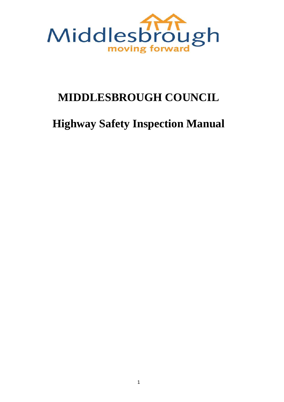

## **MIDDLESBROUGH COUNCIL**

# **Highway Safety Inspection Manual**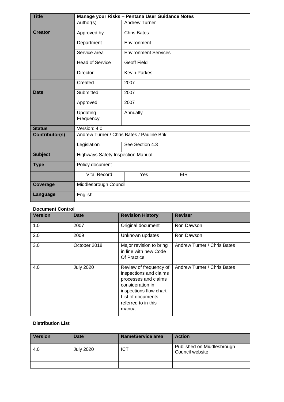| <b>Title</b>    | Manage your Risks - Pentana User Guidance Notes |                             |            |  |
|-----------------|-------------------------------------------------|-----------------------------|------------|--|
|                 | Author(s)                                       | <b>Andrew Turner</b>        |            |  |
| <b>Creator</b>  | Approved by                                     | <b>Chris Bates</b>          |            |  |
|                 | Department                                      | Environment                 |            |  |
|                 | Service area                                    | <b>Environment Services</b> |            |  |
|                 | <b>Head of Service</b>                          | <b>Geoff Field</b>          |            |  |
|                 | <b>Director</b>                                 | <b>Kevin Parkes</b>         |            |  |
|                 | Created                                         | 2007                        |            |  |
| <b>Date</b>     | Submitted                                       | 2007                        |            |  |
|                 | Approved                                        | 2007                        |            |  |
|                 | Updating                                        | Annually                    |            |  |
|                 | Frequency                                       |                             |            |  |
| <b>Status</b>   | Version: 4.0                                    |                             |            |  |
| Contributor(s)  | Andrew Turner / Chris Bates / Pauline Briki     |                             |            |  |
|                 | Legislation                                     | See Section 4.3             |            |  |
| <b>Subject</b>  | <b>Highways Safety Inspection Manual</b>        |                             |            |  |
| <b>Type</b>     | Policy document                                 |                             |            |  |
|                 | <b>Vital Record</b>                             | Yes                         | <b>EIR</b> |  |
| <b>Coverage</b> | Middlesbrough Council                           |                             |            |  |
| Language        | English                                         |                             |            |  |

### **Document Control**

| <b>Version</b> | <b>Date</b>      | <b>Revision History</b>                                                                                                                                                        | <b>Reviser</b>              |
|----------------|------------------|--------------------------------------------------------------------------------------------------------------------------------------------------------------------------------|-----------------------------|
| 1.0            | 2007             | Original document                                                                                                                                                              | Ron Dawson                  |
| 2.0            | 2009             | Unknown updates                                                                                                                                                                | Ron Dawson                  |
| 3.0            | October 2018     | Major revision to bring<br>in line with new Code<br>Of Practice                                                                                                                | Andrew Turner / Chris Bates |
| 4.0            | <b>July 2020</b> | Review of frequency of<br>inspections and claims<br>processes and claims<br>consideration in<br>inspections flow chart.<br>List of documents<br>referred to in this<br>manual. | Andrew Turner / Chris Bates |

#### **Distribution List**

| <b>Version</b> | <b>Date</b>      | <b>Name/Service area</b> | <b>Action</b>                                 |
|----------------|------------------|--------------------------|-----------------------------------------------|
| 4.0            | <b>July 2020</b> | <b>ICT</b>               | Published on Middlesbrough<br>Council website |
|                |                  |                          |                                               |
|                |                  |                          |                                               |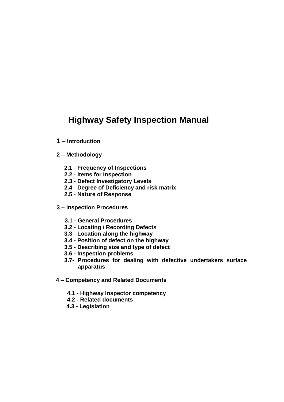## **Highway Safety Inspection Manual**

- **1 – Introduction**
- **2 – Methodology**
	- **2.1 Frequency of Inspections**
	- **2.2 Items for Inspection**
	- **2.3 Defect Investigatory Levels**
	- **2.4 Degree of Deficiency and risk matrix**
	- **2.5 Nature of Response**
- **3 – Inspection Procedures**
	- **3.1 - General Procedures**
	- **3.2 - Locating / Recording Defects**
	- **3.3 Location along the highway**
	- **3.4 - Position of defect on the highway**
	- **3.5 - Describing size and type of defect**
	- **3.6 - Inspection problems**
	- **3.7- Procedures for dealing with defective undertakers surface apparatus**
- **4 – Competency and Related Documents**
	- **4.1 - Highway Inspector competency**
	- **4.2 - Related documents**
	- **4.3 - Legislation**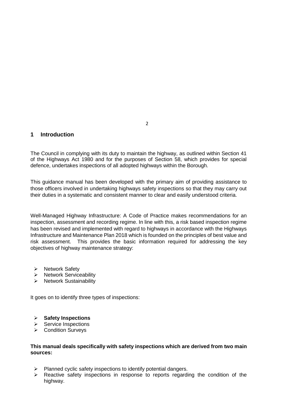#### **1 Introduction**

The Council in complying with its duty to maintain the highway, as outlined within Section 41 of the Highways Act 1980 and for the purposes of Section 58, which provides for special defence, undertakes inspections of all adopted highways within the Borough.

This guidance manual has been developed with the primary aim of providing assistance to those officers involved in undertaking highways safety inspections so that they may carry out their duties in a systematic and consistent manner to clear and easily understood criteria.

Well-Managed Highway Infrastructure: A Code of Practice makes recommendations for an inspection, assessment and recording regime. In line with this, a risk based inspection regime has been revised and implemented with regard to highways in accordance with the Highways Infrastructure and Maintenance Plan 2018 which is founded on the principles of best value and risk assessment. This provides the basic information required for addressing the key objectives of highway maintenance strategy:

- $\triangleright$  Network Safety
- $\triangleright$  Network Serviceability
- $\triangleright$  Network Sustainability

It goes on to identify three types of inspections:

#### **Safety Inspections**

- $\triangleright$  Service Inspections
- **▶ Condition Surveys**

#### **This manual deals specifically with safety inspections which are derived from two main sources:**

- $\triangleright$  Planned cyclic safety inspections to identify potential dangers.
- $\triangleright$  Reactive safety inspections in response to reports regarding the condition of the highway.

2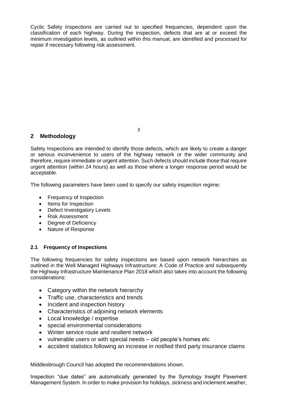Cyclic Safety Inspections are carried out to specified frequencies, dependent upon the classification of each highway. During the inspection, defects that are at or exceed the minimum investigation levels, as outlined within this manual, are identified and processed for repair if necessary following risk assessment.

## **2 Methodology**

Safety Inspections are intended to identify those defects, which are likely to create a danger or serious inconvenience to users of the highway network or the wider community and therefore, require immediate or urgent attention. Such defects should include those that require urgent attention (within 24 hours) as well as those where a longer response period would be acceptable.

The following parameters have been used to specify our safety inspection regime:

- Frequency of Inspection
- Items for Inspection
- Defect Investigatory Levels
- Risk Assessment
- Degree of Deficiency
- Nature of Response

#### **2.1 Frequency of Inspections**

The following frequencies for safety inspections are based upon network hierarchies as outlined in the Well Managed Highways Infrastructure: A Code of Practice and subsequently the Highway Infrastructure Maintenance Plan 2018 which also takes into account the following considerations:

- Category within the network hierarchy
- Traffic use, characteristics and trends
- Incident and inspection history
- Characteristics of adjoining network elements
- Local knowledge / expertise
- special environmental considerations
- Winter service route and resilient network
- vulnerable users or with special needs old people's homes etc
- accident statistics following an increase in notified third party insurance claims

Middlesbrough Council has adopted the recommendations shown.

Inspection "due dates" are automatically generated by the Symology Insight Pavement Management System. In order to make provision for holidays, sickness and inclement weather,

3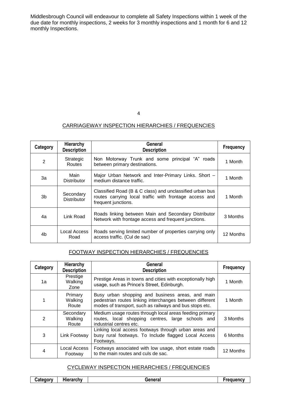Middlesbrough Council will endeavour to complete all Safety Inspections within 1 week of the due date for monthly inspections, 2 weeks for 3 monthly inspections and 1 month for 6 and 12 monthly Inspections.

#### CARRIAGEWAY INSPECTION HIERARCHIES / FREQUENCIES

| Category       | Hierarchy<br><b>Description</b> | General<br><b>Description</b>                                                                                                             | <b>Frequency</b> |
|----------------|---------------------------------|-------------------------------------------------------------------------------------------------------------------------------------------|------------------|
| 2              | Strategic<br>Routes             | Non Motorway Trunk and some principal "A" roads<br>between primary destinations.                                                          | 1 Month          |
| За             | Main<br><b>Distributor</b>      | Major Urban Network and Inter-Primary Links. Short -<br>medium distance traffic.                                                          | 1 Month          |
| 3b             | Secondary<br><b>Distributor</b> | Classified Road (B & C class) and unclassified urban bus<br>routes carrying local traffic with frontage access and<br>frequent junctions. | 1 Month          |
| 4a             | Link Road                       | Roads linking between Main and Secondary Distributor<br>Network with frontage access and frequent junctions.                              | 3 Months         |
| 4 <sub>b</sub> | Local Access<br>Road            | Roads serving limited number of properties carrying only<br>access traffic. (Cul de sac)                                                  | 12 Months        |

#### FOOTWAY INSPECTION HIERARCHIES / FREQUENCIES

| Category       | Hierarchy<br><b>Description</b> | <b>General</b><br><b>Description</b>                                                                                                                                    | <b>Frequency</b> |
|----------------|---------------------------------|-------------------------------------------------------------------------------------------------------------------------------------------------------------------------|------------------|
| 1a             | Prestige<br>Walking<br>Zone     | Prestige Areas in towns and cities with exceptionally high<br>usage, such as Prince's Street, Edinburgh.                                                                | 1 Month          |
| 1              | Primary<br>Walking<br>Route     | Busy urban shopping and business areas, and main<br>pedestrian routes linking interchanges between different<br>modes of transport, such as railways and bus stops etc. | 1 Month          |
| 2              | Secondary<br>Walking<br>Route   | Medium usage routes through local areas feeding primary<br>routes, local shopping centres, large schools and<br>industrial centres etc.                                 | 3 Months         |
| 3              | Link Footway                    | Linking local access footways through urban areas and<br>busy rural footways. To Include flagged Local Access<br>Footways.                                              | 6 Months         |
| $\overline{4}$ | Local Access<br>Footway         | Footways associated with low usage, short estate roads<br>to the main routes and culs de sac.                                                                           | 12 Months        |

#### CYCLEWAY INSPECTION HIERARCHIES / FREQUENCIES

| .<br>Hierarchv<br>∟ategory<br>General<br><b>File</b> | uencv |
|------------------------------------------------------|-------|
|------------------------------------------------------|-------|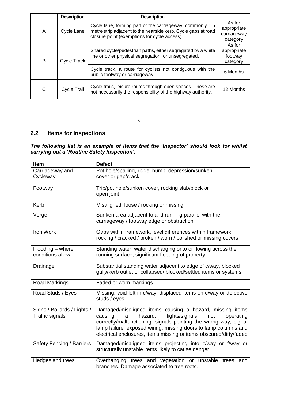|                  | <b>Description</b>                                                                                                  | <b>Description</b>                                                                                                                                                         |                                                  |
|------------------|---------------------------------------------------------------------------------------------------------------------|----------------------------------------------------------------------------------------------------------------------------------------------------------------------------|--------------------------------------------------|
| A                | Cycle Lane                                                                                                          | Cycle lane, forming part of the carriageway, commonly 1.5<br>metre strip adjacent to the nearside kerb. Cycle gaps at road<br>closure point (exemptions for cycle access). | As for<br>appropriate<br>carriageway<br>category |
| В<br>Cycle Track | Shared cycle/pedestrian paths, either segregated by a white<br>line or other physical segregation, or unsegregated. | As for<br>appropriate<br>footway<br>category                                                                                                                               |                                                  |
|                  |                                                                                                                     | Cycle track, a route for cyclists not contiguous with the<br>public footway or carriageway.                                                                                | 6 Months                                         |
| C                | Cycle Trail                                                                                                         | Cycle trails, leisure routes through open spaces. These are<br>not necessarily the responsibility of the highway authority.                                                | 12 Months                                        |

5

## **2.2 Items for Inspections**

*The following list is an example of items that the 'Inspector' should look for whilst carrying out a 'Routine Safety Inspection':*

| <b>Item</b>                                           | <b>Defect</b>                                                                                                                                                                                                                                                                                                                          |
|-------------------------------------------------------|----------------------------------------------------------------------------------------------------------------------------------------------------------------------------------------------------------------------------------------------------------------------------------------------------------------------------------------|
| Carriageway and<br>Cycleway                           | Pot hole/spalling, ridge, hump, depression/sunken<br>cover or gap/crack                                                                                                                                                                                                                                                                |
|                                                       |                                                                                                                                                                                                                                                                                                                                        |
| Footway                                               | Trip/pot hole/sunken cover, rocking slab/block or<br>open joint                                                                                                                                                                                                                                                                        |
| Kerb                                                  | Misaligned, loose / rocking or missing                                                                                                                                                                                                                                                                                                 |
| Verge                                                 | Sunken area adjacent to and running parallel with the<br>carriageway / footway edge or obstruction                                                                                                                                                                                                                                     |
| Iron Work                                             | Gaps within framework, level differences within framework,<br>rocking / cracked / broken / worn / polished or missing covers                                                                                                                                                                                                           |
| Flooding - where<br>conditions allow                  | Standing water, water discharging onto or flowing across the<br>running surface, significant flooding of property                                                                                                                                                                                                                      |
| Drainage                                              | Substantial standing water adjacent to edge of c/way, blocked<br>gully/kerb outlet or collapsed/ blocked/settled items or systems                                                                                                                                                                                                      |
| Road Markings                                         | Faded or worn markings                                                                                                                                                                                                                                                                                                                 |
| Road Studs / Eyes                                     | Missing, void left in c/way, displaced items on c/way or defective<br>studs / eyes.                                                                                                                                                                                                                                                    |
| Signs / Bollards / Lights /<br><b>Traffic signals</b> | Damaged/misaligned items causing a hazard, missing items<br>causing<br>hazard,<br>lights/signals<br>operating<br>a<br>not<br>correctly/malfunctioning, signals pointing the wrong way, signal<br>lamp failure, exposed wiring, missing doors to lamp columns and<br>electrical enclosures, items missing or items obscured/dirty/faded |
| Safety Fencing / Barriers                             | Damaged/misaligned items projecting into c/way or f/way or<br>structurally unstable items likely to cause danger                                                                                                                                                                                                                       |
| Hedges and trees                                      | Overhanging trees and vegetation or unstable<br>trees<br>and<br>branches. Damage associated to tree roots.                                                                                                                                                                                                                             |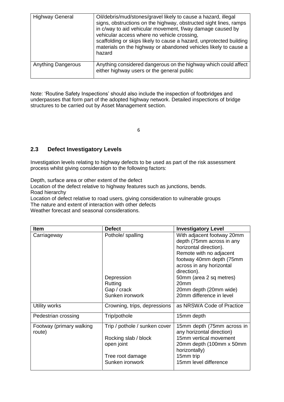| <b>Highway General</b>    | Oil/debris/mud/stones/gravel likely to cause a hazard, illegal<br>signs, obstructions on the highway, obstructed sight lines, ramps<br>in c/way to aid vehicular movement, f/way damage caused by<br>vehicular access where no vehicle crossing,<br>scaffolding or skips likely to cause a hazard, unprotected building<br>materials on the highway or abandoned vehicles likely to cause a<br>hazard |
|---------------------------|-------------------------------------------------------------------------------------------------------------------------------------------------------------------------------------------------------------------------------------------------------------------------------------------------------------------------------------------------------------------------------------------------------|
| <b>Anything Dangerous</b> | Anything considered dangerous on the highway which could affect<br>either highway users or the general public                                                                                                                                                                                                                                                                                         |

Note: 'Routine Safety Inspections' should also include the inspection of footbridges and underpasses that form part of the adopted highway network. Detailed inspections of bridge structures to be carried out by Asset Management section.

6

## **2.3 Defect Investigatory Levels**

Investigation levels relating to highway defects to be used as part of the risk assessment process whilst giving consideration to the following factors:

Depth, surface area or other extent of the defect

Location of the defect relative to highway features such as junctions, bends. Road hierarchy

Location of defect relative to road users, giving consideration to vulnerable groups The nature and extent of interaction with other defects

Weather forecast and seasonal considerations.

| <b>Item</b>              | <b>Defect</b>                 | <b>Investigatory Level</b>                |
|--------------------------|-------------------------------|-------------------------------------------|
| Carriageway              | Pothole/ spalling             | With adjacent footway 20mm                |
|                          |                               | depth (75mm across in any                 |
|                          |                               | horizontal direction).                    |
|                          |                               | Remote with no adjacent                   |
|                          |                               | footway 40mm depth (75mm                  |
|                          |                               | across in any horizontal                  |
|                          |                               | direction).                               |
|                          | Depression                    | 50mm (area 2 sq metres)                   |
|                          | Rutting                       | 20mm                                      |
|                          | Gap / crack                   | 20mm depth (20mm wide)                    |
|                          | Sunken ironwork               | 20mm difference in level                  |
| Utility works            | Crowning, trips, depressions  | as NRSWA Code of Practice                 |
| Pedestrian crossing      | Trip/pothole                  | 15mm depth                                |
| Footway (primary walking | Trip / pothole / sunken cover | 15mm depth (75mm across in                |
| route)                   |                               | any horizontal direction)                 |
|                          | Rocking slab / block          | 15mm vertical movement                    |
|                          | open joint                    | 20mm depth (100mm x 50mm<br>horizontally) |
|                          | Tree root damage              | 15mm trip                                 |
|                          | Sunken ironwork               | 15mm level difference                     |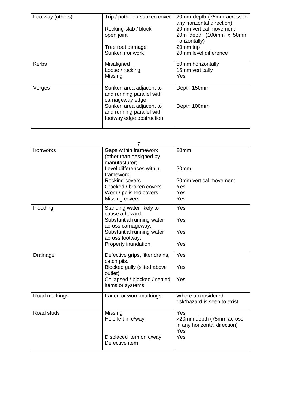| Footway (others) | Trip / pothole / sunken cover                                                                                                                                  | 20mm depth (75mm across in<br>any horizontal direction) |
|------------------|----------------------------------------------------------------------------------------------------------------------------------------------------------------|---------------------------------------------------------|
|                  | Rocking slab / block                                                                                                                                           | 20mm vertical movement                                  |
|                  | open joint                                                                                                                                                     | 20m depth (100mm x 50mm<br>horizontally)                |
|                  | Tree root damage                                                                                                                                               | 20mm trip                                               |
|                  | Sunken ironwork                                                                                                                                                | 20mm level difference                                   |
| Kerbs            | Misaligned<br>Loose / rocking<br>Missing                                                                                                                       | 50mm horizontally<br>15mm vertically<br>Yes             |
| Verges           | Sunken area adjacent to<br>and running parallel with<br>carriageway edge.<br>Sunken area adjacent to<br>and running parallel with<br>footway edge obstruction. | Depth 150mm<br>Depth 100mm                              |

|               | 7                                                                                              |                                                                        |
|---------------|------------------------------------------------------------------------------------------------|------------------------------------------------------------------------|
| Ironworks     | Gaps within framework<br>(other than designed by<br>manufacturer).<br>Level differences within | 20mm<br>20mm                                                           |
|               | framework                                                                                      |                                                                        |
|               | Rocking covers<br>Cracked / broken covers                                                      | 20mm vertical movement<br>Yes                                          |
|               | Worn / polished covers                                                                         | Yes                                                                    |
|               | Missing covers                                                                                 | Yes                                                                    |
| Flooding      | Standing water likely to<br>cause a hazard.                                                    | Yes                                                                    |
|               | Substantial running water<br>across carriageway.                                               | Yes                                                                    |
|               | Substantial running water<br>across footway.                                                   | Yes                                                                    |
|               | Property inundation                                                                            | Yes                                                                    |
| Drainage      | Defective grips, filter drains,<br>catch pits.                                                 | Yes                                                                    |
|               | Blocked gully (silted above<br>outlet).                                                        | Yes                                                                    |
|               | Collapsed / blocked / settled<br>items or systems                                              | Yes                                                                    |
| Road markings | Faded or worn markings                                                                         | Where a considered<br>risk/hazard is seen to exist                     |
| Road studs    | Missing<br>Hole left in c/way                                                                  | Yes<br>>20mm depth (75mm across<br>in any horizontal direction)<br>Yes |
|               | Displaced item on c/way<br>Defective item                                                      | Yes                                                                    |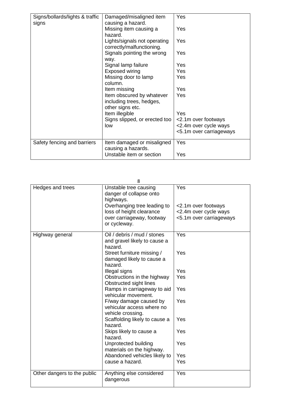| Signs/bollards/lights & traffic | Damaged/misaligned item       | Yes                     |  |  |  |  |
|---------------------------------|-------------------------------|-------------------------|--|--|--|--|
| signs                           | causing a hazard.             |                         |  |  |  |  |
|                                 | Missing item causing a        | Yes                     |  |  |  |  |
|                                 | hazard.                       |                         |  |  |  |  |
|                                 | Lights/signals not operating  | <b>Yes</b>              |  |  |  |  |
|                                 | correctly/malfunctioning.     |                         |  |  |  |  |
|                                 | Signals pointing the wrong    | Yes                     |  |  |  |  |
|                                 | way.                          |                         |  |  |  |  |
|                                 | Signal lamp failure           | Yes                     |  |  |  |  |
|                                 | Exposed wiring                | Yes                     |  |  |  |  |
|                                 | Missing door to lamp          | Yes                     |  |  |  |  |
|                                 | column.                       |                         |  |  |  |  |
|                                 | Item missing                  | Yes                     |  |  |  |  |
|                                 | Item obscured by whatever     | Yes                     |  |  |  |  |
|                                 | including trees, hedges,      |                         |  |  |  |  |
|                                 | other signs etc.              |                         |  |  |  |  |
|                                 | Item illegible                | Yes                     |  |  |  |  |
|                                 | Signs slipped, or erected too | <2.1m over footways     |  |  |  |  |
|                                 | low                           | <2.4m over cycle ways   |  |  |  |  |
|                                 |                               | <5.1m over carriageways |  |  |  |  |
|                                 |                               |                         |  |  |  |  |
| Safety fencing and barriers     | Item damaged or misaligned    | Yes                     |  |  |  |  |
|                                 | causing a hazards.            |                         |  |  |  |  |
|                                 | Unstable item or section      | Yes                     |  |  |  |  |

|                             | 8                                                             |                         |
|-----------------------------|---------------------------------------------------------------|-------------------------|
| Hedges and trees            | Unstable tree causing<br>danger of collapse onto<br>highways. | Yes                     |
|                             | Overhanging tree leading to                                   | <2.1m over footways     |
|                             | loss of height clearance                                      | <2.4m over cycle ways   |
|                             | over carriageway, footway<br>or cycleway.                     | <5.1m over carriageways |
| Highway general             | Oil / debris / mud / stones<br>and gravel likely to cause a   | Yes                     |
|                             | hazard.                                                       |                         |
|                             | Street furniture missing /                                    | Yes                     |
|                             | damaged likely to cause a                                     |                         |
|                             | hazard.                                                       |                         |
|                             | Illegal signs                                                 | Yes                     |
|                             | Obstructions in the highway                                   | Yes                     |
|                             | Obstructed sight lines                                        |                         |
|                             | Ramps in carriageway to aid<br>vehicular movement.            | Yes                     |
|                             | F/way damage caused by                                        | Yes                     |
|                             | vehicular access where no                                     |                         |
|                             | vehicle crossing.                                             |                         |
|                             | Scaffolding likely to cause a<br>hazard.                      | Yes                     |
|                             | Skips likely to cause a<br>hazard.                            | Yes                     |
|                             | Unprotected building<br>materials on the highway.             | Yes                     |
|                             | Abandoned vehicles likely to                                  | Yes                     |
|                             | cause a hazard.                                               | Yes                     |
|                             |                                                               |                         |
| Other dangers to the public | Anything else considered<br>dangerous                         | Yes                     |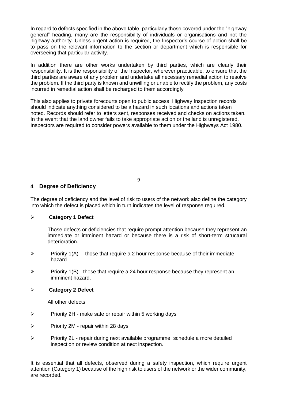In regard to defects specified in the above table, particularly those covered under the "highway general" heading, many are the responsibility of individuals or organisations and not the highway authority. Unless urgent action is required, the Inspector's course of action shall be to pass on the relevant information to the section or department which is responsible for overseeing that particular activity.

In addition there are other works undertaken by third parties, which are clearly their responsibility. It is the responsibility of the Inspector, wherever practicable, to ensure that the third parties are aware of any problem and undertake all necessary remedial action to resolve the problem. If the third party is known and unwilling or unable to rectify the problem, any costs incurred in remedial action shall be recharged to them accordingly

This also applies to private forecourts open to public access. Highway Inspection records should indicate anything considered to be a hazard in such locations and actions taken noted. Records should refer to letters sent, responses received and checks on actions taken. In the event that the land owner fails to take appropriate action or the land is unregistered, Inspectors are required to consider powers available to them under the Highways Act 1980.

9

## **4 Degree of Deficiency**

The degree of deficiency and the level of risk to users of the network also define the category into which the defect is placed which in turn indicates the level of response required.

#### **Category 1 Defect**

Those defects or deficiencies that require prompt attention because they represent an immediate or imminent hazard or because there is a risk of short-term structural deterioration.

- $\triangleright$  Priority 1(A) those that require a 2 hour response because of their immediate hazard
- $\triangleright$  Priority 1(B) those that require a 24 hour response because they represent an imminent hazard.

#### **Category 2 Defect**

All other defects

- $\triangleright$  Priority 2H make safe or repair within 5 working days
- $\triangleright$  Priority 2M repair within 28 days
- $\triangleright$  Priority 2L repair during next available programme, schedule a more detailed inspection or review condition at next inspection.

It is essential that all defects, observed during a safety inspection, which require urgent attention (Category 1) because of the high risk to users of the network or the wider community, are recorded.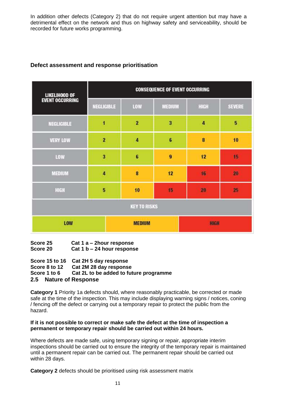In addition other defects (Category 2) that do not require urgent attention but may have a detrimental effect on the network and thus on highway safety and serviceability, should be recorded for future works programming.

| <b>LIKELIHOOD OF</b>   | <b>CONSEQUENCE OF EVENT OCCURRING</b> |                |                  |             |               |  |  |  |  |
|------------------------|---------------------------------------|----------------|------------------|-------------|---------------|--|--|--|--|
| <b>EVENT OCCURRING</b> | NEGLIGIBLE                            | LOW            | MEDIUM           | HIGH        | <b>SEVERE</b> |  |  |  |  |
| <b>NEGLIGIBLE</b>      | 1                                     | $\overline{2}$ | 3                | 4           | 5             |  |  |  |  |
| <b>VERY LOW</b>        | $\overline{2}$                        | $\ddot{a}$     | $\epsilon$       | 8           | 10            |  |  |  |  |
| LOW                    | 3                                     | 6              | $\boldsymbol{9}$ | 12          | 15            |  |  |  |  |
| <b>MEDIUM</b>          | $\overline{\bf{4}}$                   | 8              | 12               | 16          | 20            |  |  |  |  |
| HIGH                   | 5                                     | 10             | 15               | 20          | 25            |  |  |  |  |
| <b>KEY TO RISKS</b>    |                                       |                |                  |             |               |  |  |  |  |
| LOW                    |                                       | <b>MEDIUM</b>  |                  | <b>HIGH</b> |               |  |  |  |  |

## **Defect assessment and response prioritisation**

| Score 25 | Cat 1 a $-$ 2 hour response |
|----------|-----------------------------|
| Score 20 | Cat 1 b - 24 hour response  |

#### **Score 15 to 16 Cat 2H 5 day response Score 8 to 12 Cat 2M 28 day response Score 1 to 6 Cat 2L to be added to future programme 2.5 Nature of Response**

**Category 1** Priority 1a defects should, where reasonably practicable, be corrected or made safe at the time of the inspection. This may include displaying warning signs / notices, coning / fencing off the defect or carrying out a temporary repair to protect the public from the hazard.

#### **If it is not possible to correct or make safe the defect at the time of inspection a permanent or temporary repair should be carried out within 24 hours.**

Where defects are made safe, using temporary signing or repair, appropriate interim inspections should be carried out to ensure the integrity of the temporary repair is maintained until a permanent repair can be carried out. The permanent repair should be carried out within 28 days.

**Category 2** defects should be prioritised using risk assessment matrix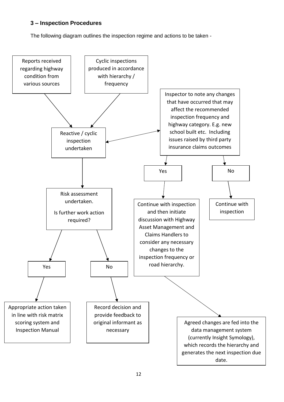## **3 – Inspection Procedures**

The following diagram outlines the inspection regime and actions to be taken -

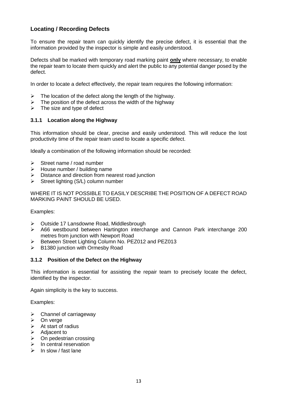## **Locating / Recording Defects**

To ensure the repair team can quickly identify the precise defect, it is essential that the information provided by the inspector is simple and easily understood.

Defects shall be marked with temporary road marking paint **only** where necessary, to enable the repair team to locate them quickly and alert the public to any potential danger posed by the defect.

In order to locate a defect effectively, the repair team requires the following information:

- $\triangleright$  The location of the defect along the length of the highway.
- $\triangleright$  The position of the defect across the width of the highway
- $\triangleright$  The size and type of defect

#### **3.1.1 Location along the Highway**

This information should be clear, precise and easily understood. This will reduce the lost productivity time of the repair team used to locate a specific defect.

Ideally a combination of the following information should be recorded:

- $\triangleright$  Street name / road number
- $\triangleright$  House number / building name
- $\triangleright$  Distance and direction from nearest road junction
- $\triangleright$  Street lighting (S/L) column number

WHERE IT IS NOT POSSIBLE TO EASILY DESCRIBE THE POSITION OF A DEFECT ROAD MARKING PAINT SHOULD BE USED.

Examples:

- Outside 17 Lansdowne Road, Middlesbrough
- A66 westbound between Hartington interchange and Cannon Park interchange 200 metres from junction with Newport Road
- ▶ Between Street Lighting Column No. PEZ012 and PEZ013
- $\triangleright$  B1380 junction with Ormesby Road

#### **3.1.2 Position of the Defect on the Highway**

This information is essential for assisting the repair team to precisely locate the defect, identified by the inspector.

Again simplicity is the key to success.

Examples:

- $\triangleright$  Channel of carriageway
- $\triangleright$  On verge
- $\triangleright$  At start of radius
- Adjacent to
- On pedestrian crossing
- In central reservation
- $\triangleright$  In slow / fast lane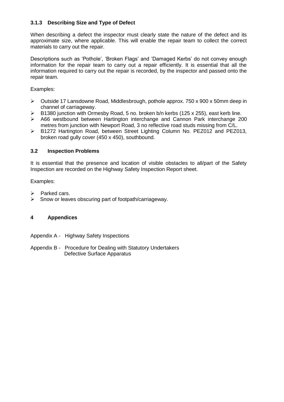## **3.1.3 Describing Size and Type of Defect**

When describing a defect the inspector must clearly state the nature of the defect and its approximate size, where applicable. This will enable the repair team to collect the correct materials to carry out the repair.

Descriptions such as 'Pothole', 'Broken Flags' and 'Damaged Kerbs' do not convey enough information for the repair team to carry out a repair efficiently. It is essential that all the information required to carry out the repair is recorded, by the inspector and passed onto the repair team.

#### Examples:

- Outside 17 Lansdowne Road, Middlesbrough, pothole approx. 750 x 900 x 50mm deep in channel of carriageway.
- $\triangleright$  B1380 junction with Ormesby Road, 5 no. broken b/n kerbs (125 x 255), east kerb line.
- A66 westbound between Hartington interchange and Cannon Park interchange 200 metres from junction with Newport Road, 3 no reflective road studs missing from C/L.
- B1272 Hartington Road, between Street Lighting Column No. PEZ012 and PEZ013, broken road gully cover (450 x 450), southbound.

#### **3.2 Inspection Problems**

It is essential that the presence and location of visible obstacles to all/part of the Safety Inspection are recorded on the Highway Safety Inspection Report sheet.

#### Examples:

- **Parked cars.**
- $\triangleright$  Snow or leaves obscuring part of footpath/carriageway.

## **4 Appendices**

Appendix A - Highway Safety Inspections

Appendix B - Procedure for Dealing with Statutory Undertakers Defective Surface Apparatus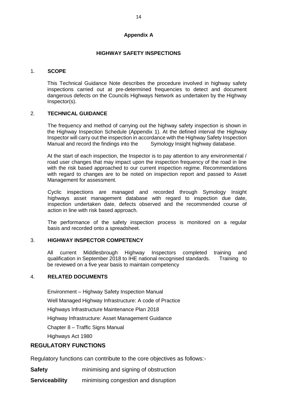#### **Appendix A**

#### **HIGHWAY SAFETY INSPECTIONS**

#### 1. **SCOPE**

This Technical Guidance Note describes the procedure involved in highway safety inspections carried out at pre-determined frequencies to detect and document dangerous defects on the Councils Highways Network as undertaken by the Highway Inspector(s).

#### 2. **TECHNICAL GUIDANCE**

The frequency and method of carrying out the highway safety inspection is shown in the Highway Inspection Schedule (Appendix 1). At the defined interval the Highway Inspector will carry out the inspection in accordance with the Highway Safety Inspection Manual and record the findings into the Symology Insight highway database.

At the start of each inspection, the Inspector is to pay attention to any environmental / road user changes that may impact upon the inspection frequency of the road in line with the risk based approached to our current inspection regime. Recommendations with regard to changes are to be noted on inspection report and passed to Asset Management for assessment.

Cyclic inspections are managed and recorded through Symology Insight highways asset management database with regard to inspection due date, inspection undertaken date, defects observed and the recommended course of action in line with risk based approach.

The performance of the safety inspection process is monitored on a regular basis and recorded onto a spreadsheet.

#### 3. **HIGHWAY INSPECTOR COMPETENCY**

 All current Middlesbrough Highway Inspectors completed training and qualification in September 2018 to IHE national recognised standards. Training to be reviewed on a five year basis to maintain competency

#### 4. **RELATED DOCUMENTS**

Environment – Highway Safety Inspection Manual

Well Managed Highway Infrastructure: A code of Practice

Highways Infrastructure Maintenance Plan 2018

Highway Infrastructure: Asset Management Guidance

Chapter 8 – Traffic Signs Manual

Highways Act 1980

#### **REGULATORY FUNCTIONS**

Regulatory functions can contribute to the core objectives as follows:-

**Safety** minimising and signing of obstruction

**Serviceability** minimising congestion and disruption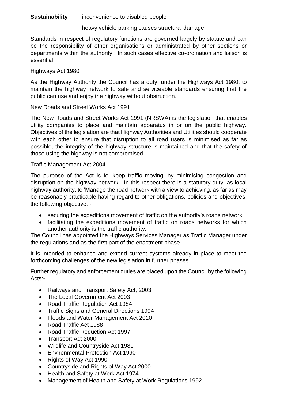## **Sustainability** inconvenience to disabled people

## heavy vehicle parking causes structural damage

Standards in respect of regulatory functions are governed largely by statute and can be the responsibility of other organisations or administrated by other sections or departments within the authority. In such cases effective co-ordination and liaison is essential

## Highways Act 1980

As the Highway Authority the Council has a duty, under the Highways Act 1980, to maintain the highway network to safe and serviceable standards ensuring that the public can use and enjoy the highway without obstruction.

## New Roads and Street Works Act 1991

The New Roads and Street Works Act 1991 (NRSWA) is the legislation that enables utility companies to place and maintain apparatus in or on the public highway. Objectives of the legislation are that Highway Authorities and Utilities should cooperate with each other to ensure that disruption to all road users is minimised as far as possible, the integrity of the highway structure is maintained and that the safety of those using the highway is not compromised.

## Traffic Management Act 2004

The purpose of the Act is to 'keep traffic moving' by minimising congestion and disruption on the highway network. In this respect there is a statutory duty, as local highway authority, to 'Manage the road network with a view to achieving, as far as may be reasonably practicable having regard to other obligations, policies and objectives, the following objective: -

- securing the expeditions movement of traffic on the authority's roads network.
- facilitating the expeditions movement of traffic on roads networks for which another authority is the traffic authority.

The Council has appointed the Highways Services Manager as Traffic Manager under the regulations and as the first part of the enactment phase.

It is intended to enhance and extend current systems already in place to meet the forthcoming challenges of the new legislation in further phases.

Further regulatory and enforcement duties are placed upon the Council by the following Acts:-

- Railways and Transport Safety Act, 2003
- The Local Government Act 2003
- Road Traffic Regulation Act 1984
- Traffic Signs and General Directions 1994
- Floods and Water Management Act 2010
- Road Traffic Act 1988
- Road Traffic Reduction Act 1997
- Transport Act 2000
- Wildlife and Countryside Act 1981
- Environmental Protection Act 1990
- Rights of Way Act 1990
- Countryside and Rights of Way Act 2000
- Health and Safety at Work Act 1974
- Management of Health and Safety at Work Regulations 1992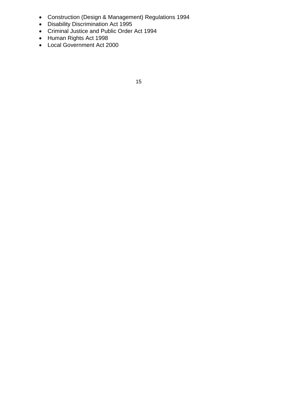- Construction (Design & Management) Regulations 1994
- Disability Discrimination Act 1995
- Criminal Justice and Public Order Act 1994
- Human Rights Act 1998
- Local Government Act 2000

15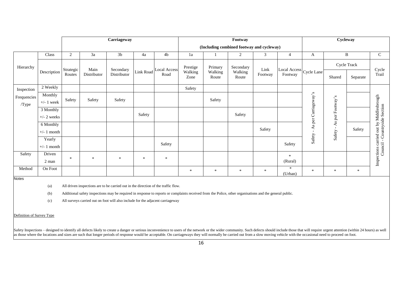|             |                    | Carriageway                 |             |                          |        |                                | Footway                                   |                             |                               |                 | Cycleway                                                      |                                    |                  |          |                                                                           |
|-------------|--------------------|-----------------------------|-------------|--------------------------|--------|--------------------------------|-------------------------------------------|-----------------------------|-------------------------------|-----------------|---------------------------------------------------------------|------------------------------------|------------------|----------|---------------------------------------------------------------------------|
|             |                    |                             |             |                          |        |                                | (Including combined footway and cycleway) |                             |                               |                 |                                                               |                                    |                  |          |                                                                           |
|             | Class              | 2                           | 3a          | 3 <sub>b</sub>           | 4a     | 4b                             | 1a                                        |                             | 2                             | 3               | $\overline{4}$                                                | A                                  |                  | B        | $\mathsf{C}$                                                              |
| Hierarchy   | Description        | Strategic<br>Main<br>Routes |             | Secondary<br>Distributor |        | Link Road Local Access<br>Road | Prestige<br>Walking<br>Zone               | Primary<br>Walking<br>Route | Secondary<br>Walking<br>Route | Link<br>Footway | [Local Access <sup>]</sup> Cycle Lane <sup>[</sup><br>Footway |                                    | Cycle Track      |          | Cycle                                                                     |
|             |                    |                             | Distributor |                          |        |                                |                                           |                             |                               |                 |                                                               |                                    | Shared           | Separate | Trail                                                                     |
| Inspection  | 2 Weekly           |                             |             |                          |        |                                | Safety                                    |                             |                               |                 |                                                               |                                    |                  |          |                                                                           |
| Frequencies | Monthly            |                             |             |                          |        |                                |                                           |                             |                               |                 |                                                               |                                    |                  |          |                                                                           |
| /Type       | $+\prime$ - 1 week | Safety                      | Safety      | Safety                   |        |                                |                                           | Safety                      |                               |                 |                                                               | As per Carriageway's               | As per Footway's |          |                                                                           |
|             | 3 Monthly          |                             |             |                          |        |                                |                                           |                             |                               |                 |                                                               |                                    |                  |          |                                                                           |
|             | $+/- 2$ weeks      |                             |             |                          | Safety |                                |                                           |                             | Safety                        |                 |                                                               |                                    |                  |          |                                                                           |
|             | 6 Monthly          |                             |             |                          |        |                                |                                           |                             |                               |                 |                                                               |                                    | $\blacksquare$   |          |                                                                           |
|             | $+/- 1$ month      |                             |             |                          |        |                                |                                           |                             |                               | Safety          |                                                               | $\overline{\phantom{a}}$<br>Safety | Safety           | Safety   | Inspections carried out by Middlesbrough<br>Council - Countryside Section |
|             | Yearly             |                             |             |                          |        |                                |                                           |                             |                               |                 |                                                               |                                    |                  |          |                                                                           |
|             | $+/- 1$ month      |                             |             |                          |        | Safety                         |                                           |                             |                               |                 | Safety                                                        |                                    |                  |          |                                                                           |
| Safety      | Driven             |                             |             |                          |        |                                |                                           |                             |                               |                 | $\ast$                                                        |                                    |                  |          |                                                                           |
|             | 2 man              | $\ast$                      | $\ast$      | $\ast$                   | $\ast$ | $*$                            |                                           |                             |                               |                 | (Rural)                                                       |                                    |                  |          |                                                                           |
| Method      | On Foot            |                             |             |                          |        |                                | $\ast$                                    | $\ast$                      | $\ast$                        | $\ast$          | $\ast$<br>(Urban)                                             | $\ast$                             | $\ast$           | $\ast$   |                                                                           |

**Notes** 

(a) All driven inspections are to be carried out in the direction of the traffic flow.

(b) Additional safety inspections may be required in response to reports or complaints received from the Police, other organisations and the general public.

(c) All surveys carried out on foot will also include for the adjacent carriageway

Definition of Survey Type

Safety Inspections – designed to identify all defects likely to create a danger or serious inconvenience to users of the network or the wider community. Such defects should include those that will require urgent attention as those where the locations and sizes are such that longer periods of response would be acceptable. On carriageways they will normally be carried out from a slow moving vehicle with the occasional need to proceed on foot.